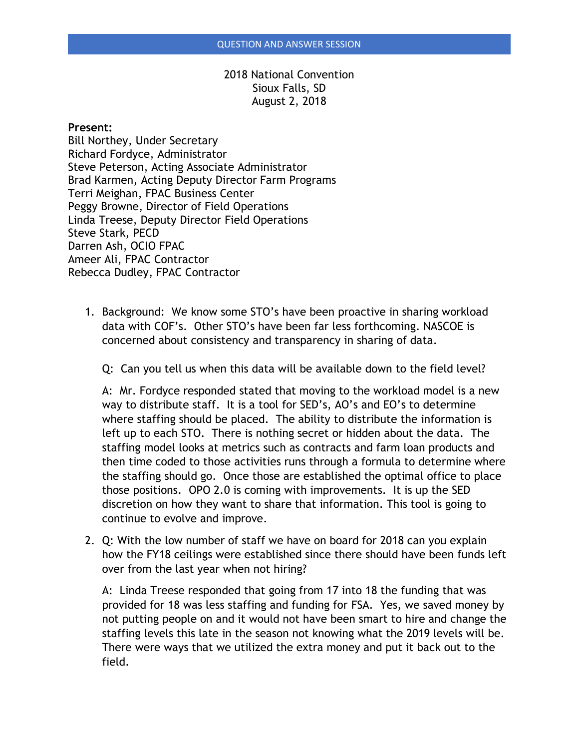## 2018 National Convention Sioux Falls, SD August 2, 2018

## **Present:**

Bill Northey, Under Secretary Richard Fordyce, Administrator Steve Peterson, Acting Associate Administrator Brad Karmen, Acting Deputy Director Farm Programs Terri Meighan, FPAC Business Center Peggy Browne, Director of Field Operations Linda Treese, Deputy Director Field Operations Steve Stark, PECD Darren Ash, OCIO FPAC Ameer Ali, FPAC Contractor Rebecca Dudley, FPAC Contractor

1. Background: We know some STO's have been proactive in sharing workload data with COF's. Other STO's have been far less forthcoming. NASCOE is concerned about consistency and transparency in sharing of data.

Q: Can you tell us when this data will be available down to the field level?

A: Mr. Fordyce responded stated that moving to the workload model is a new way to distribute staff. It is a tool for SED's, AO's and EO's to determine where staffing should be placed. The ability to distribute the information is left up to each STO. There is nothing secret or hidden about the data. The staffing model looks at metrics such as contracts and farm loan products and then time coded to those activities runs through a formula to determine where the staffing should go. Once those are established the optimal office to place those positions. OPO 2.0 is coming with improvements. It is up the SED discretion on how they want to share that information. This tool is going to continue to evolve and improve.

2. Q: With the low number of staff we have on board for 2018 can you explain how the FY18 ceilings were established since there should have been funds left over from the last year when not hiring?

A: Linda Treese responded that going from 17 into 18 the funding that was provided for 18 was less staffing and funding for FSA. Yes, we saved money by not putting people on and it would not have been smart to hire and change the staffing levels this late in the season not knowing what the 2019 levels will be. There were ways that we utilized the extra money and put it back out to the field.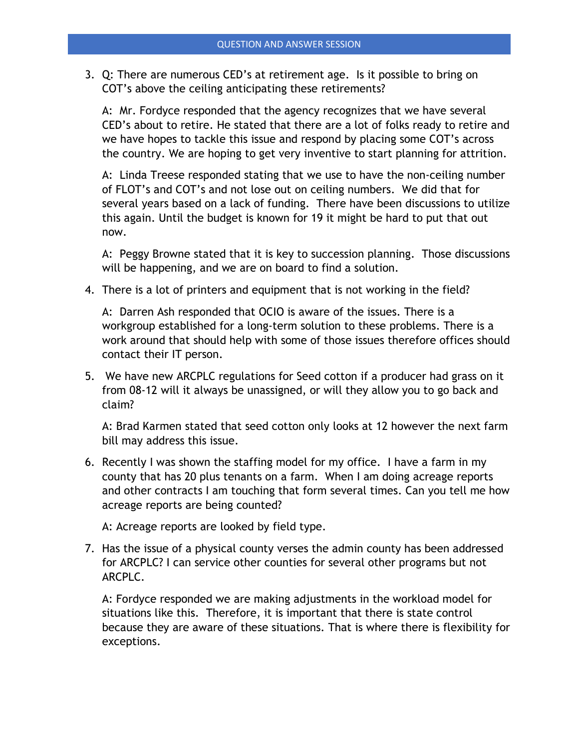3. Q: There are numerous CED's at retirement age. Is it possible to bring on COT's above the ceiling anticipating these retirements?

A: Mr. Fordyce responded that the agency recognizes that we have several CED's about to retire. He stated that there are a lot of folks ready to retire and we have hopes to tackle this issue and respond by placing some COT's across the country. We are hoping to get very inventive to start planning for attrition.

A: Linda Treese responded stating that we use to have the non-ceiling number of FLOT's and COT's and not lose out on ceiling numbers. We did that for several years based on a lack of funding. There have been discussions to utilize this again. Until the budget is known for 19 it might be hard to put that out now.

A: Peggy Browne stated that it is key to succession planning. Those discussions will be happening, and we are on board to find a solution.

4. There is a lot of printers and equipment that is not working in the field?

A: Darren Ash responded that OCIO is aware of the issues. There is a workgroup established for a long-term solution to these problems. There is a work around that should help with some of those issues therefore offices should contact their IT person.

5. We have new ARCPLC regulations for Seed cotton if a producer had grass on it from 08-12 will it always be unassigned, or will they allow you to go back and claim?

A: Brad Karmen stated that seed cotton only looks at 12 however the next farm bill may address this issue.

6. Recently I was shown the staffing model for my office. I have a farm in my county that has 20 plus tenants on a farm. When I am doing acreage reports and other contracts I am touching that form several times. Can you tell me how acreage reports are being counted?

A: Acreage reports are looked by field type.

7. Has the issue of a physical county verses the admin county has been addressed for ARCPLC? I can service other counties for several other programs but not ARCPLC.

A: Fordyce responded we are making adjustments in the workload model for situations like this. Therefore, it is important that there is state control because they are aware of these situations. That is where there is flexibility for exceptions.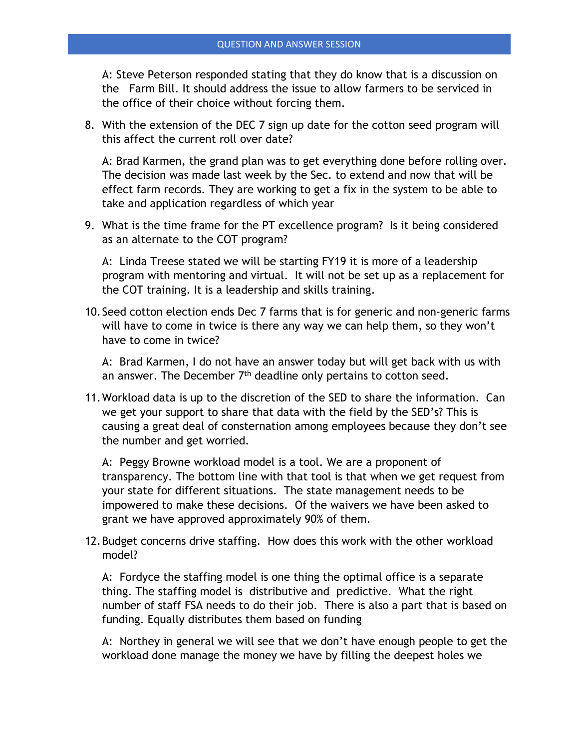A: Steve Peterson responded stating that they do know that is a discussion on the Farm Bill. It should address the issue to allow farmers to be serviced in the office of their choice without forcing them.

8. With the extension of the DEC 7 sign up date for the cotton seed program will this affect the current roll over date?

A: Brad Karmen, the grand plan was to get everything done before rolling over. The decision was made last week by the Sec. to extend and now that will be effect farm records. They are working to get a fix in the system to be able to take and application regardless of which year

9. What is the time frame for the PT excellence program? Is it being considered as an alternate to the COT program?

A: Linda Treese stated we will be starting FY19 it is more of a leadership program with mentoring and virtual. It will not be set up as a replacement for the COT training. It is a leadership and skills training.

10.Seed cotton election ends Dec 7 farms that is for generic and non-generic farms will have to come in twice is there any way we can help them, so they won't have to come in twice?

A: Brad Karmen, I do not have an answer today but will get back with us with an answer. The December  $7<sup>th</sup>$  deadline only pertains to cotton seed.

11.Workload data is up to the discretion of the SED to share the information. Can we get your support to share that data with the field by the SED's? This is causing a great deal of consternation among employees because they don't see the number and get worried.

A: Peggy Browne workload model is a tool. We are a proponent of transparency. The bottom line with that tool is that when we get request from your state for different situations. The state management needs to be impowered to make these decisions. Of the waivers we have been asked to grant we have approved approximately 90% of them.

12.Budget concerns drive staffing. How does this work with the other workload model?

A: Fordyce the staffing model is one thing the optimal office is a separate thing. The staffing model is distributive and predictive. What the right number of staff FSA needs to do their job. There is also a part that is based on funding. Equally distributes them based on funding

A: Northey in general we will see that we don't have enough people to get the workload done manage the money we have by filling the deepest holes we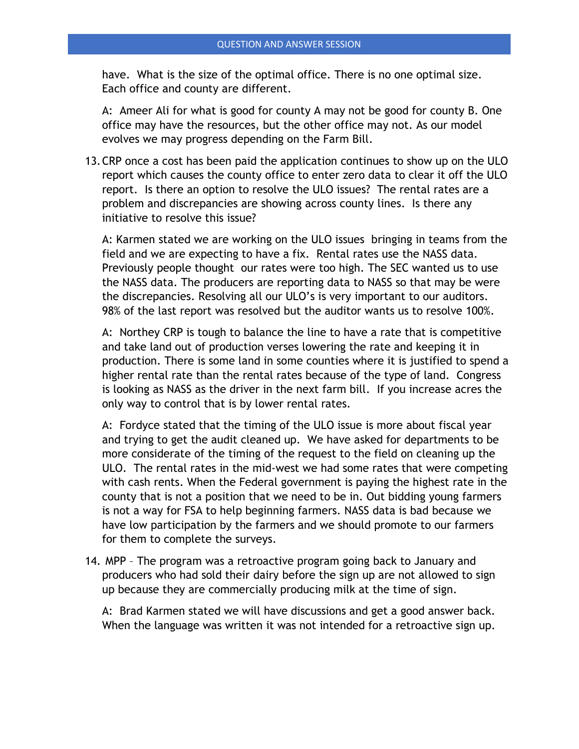have. What is the size of the optimal office. There is no one optimal size. Each office and county are different.

A: Ameer Ali for what is good for county A may not be good for county B. One office may have the resources, but the other office may not. As our model evolves we may progress depending on the Farm Bill.

13.CRP once a cost has been paid the application continues to show up on the ULO report which causes the county office to enter zero data to clear it off the ULO report. Is there an option to resolve the ULO issues? The rental rates are a problem and discrepancies are showing across county lines. Is there any initiative to resolve this issue?

A: Karmen stated we are working on the ULO issues bringing in teams from the field and we are expecting to have a fix. Rental rates use the NASS data. Previously people thought our rates were too high. The SEC wanted us to use the NASS data. The producers are reporting data to NASS so that may be were the discrepancies. Resolving all our ULO's is very important to our auditors. 98% of the last report was resolved but the auditor wants us to resolve 100%.

A: Northey CRP is tough to balance the line to have a rate that is competitive and take land out of production verses lowering the rate and keeping it in production. There is some land in some counties where it is justified to spend a higher rental rate than the rental rates because of the type of land. Congress is looking as NASS as the driver in the next farm bill. If you increase acres the only way to control that is by lower rental rates.

A: Fordyce stated that the timing of the ULO issue is more about fiscal year and trying to get the audit cleaned up. We have asked for departments to be more considerate of the timing of the request to the field on cleaning up the ULO. The rental rates in the mid-west we had some rates that were competing with cash rents. When the Federal government is paying the highest rate in the county that is not a position that we need to be in. Out bidding young farmers is not a way for FSA to help beginning farmers. NASS data is bad because we have low participation by the farmers and we should promote to our farmers for them to complete the surveys.

14. MPP – The program was a retroactive program going back to January and producers who had sold their dairy before the sign up are not allowed to sign up because they are commercially producing milk at the time of sign.

A: Brad Karmen stated we will have discussions and get a good answer back. When the language was written it was not intended for a retroactive sign up.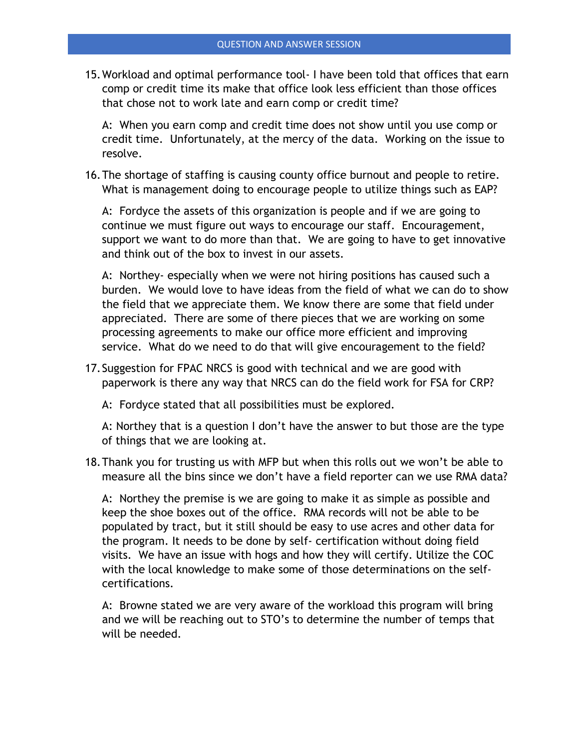15.Workload and optimal performance tool- I have been told that offices that earn comp or credit time its make that office look less efficient than those offices that chose not to work late and earn comp or credit time?

A: When you earn comp and credit time does not show until you use comp or credit time. Unfortunately, at the mercy of the data. Working on the issue to resolve.

16.The shortage of staffing is causing county office burnout and people to retire. What is management doing to encourage people to utilize things such as EAP?

A: Fordyce the assets of this organization is people and if we are going to continue we must figure out ways to encourage our staff. Encouragement, support we want to do more than that. We are going to have to get innovative and think out of the box to invest in our assets.

A: Northey- especially when we were not hiring positions has caused such a burden. We would love to have ideas from the field of what we can do to show the field that we appreciate them. We know there are some that field under appreciated. There are some of there pieces that we are working on some processing agreements to make our office more efficient and improving service. What do we need to do that will give encouragement to the field?

17.Suggestion for FPAC NRCS is good with technical and we are good with paperwork is there any way that NRCS can do the field work for FSA for CRP?

A: Fordyce stated that all possibilities must be explored.

A: Northey that is a question I don't have the answer to but those are the type of things that we are looking at.

18.Thank you for trusting us with MFP but when this rolls out we won't be able to measure all the bins since we don't have a field reporter can we use RMA data?

A: Northey the premise is we are going to make it as simple as possible and keep the shoe boxes out of the office. RMA records will not be able to be populated by tract, but it still should be easy to use acres and other data for the program. It needs to be done by self- certification without doing field visits. We have an issue with hogs and how they will certify. Utilize the COC with the local knowledge to make some of those determinations on the selfcertifications.

A: Browne stated we are very aware of the workload this program will bring and we will be reaching out to STO's to determine the number of temps that will be needed.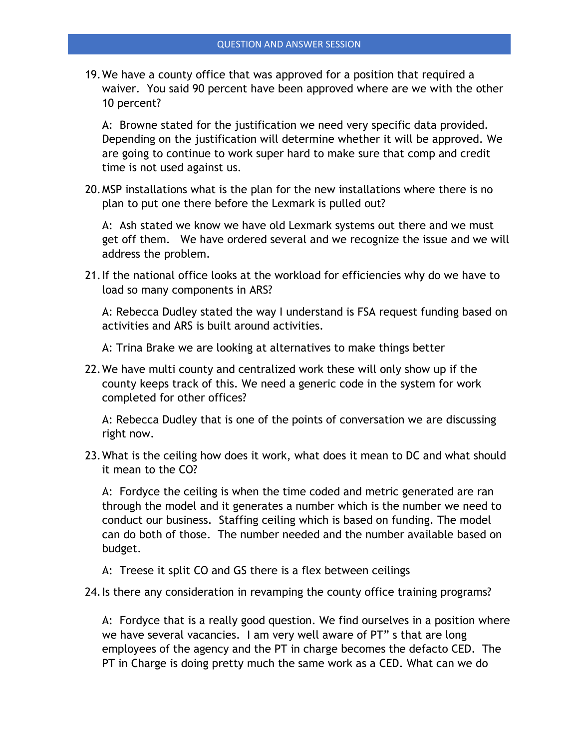19.We have a county office that was approved for a position that required a waiver. You said 90 percent have been approved where are we with the other 10 percent?

A: Browne stated for the justification we need very specific data provided. Depending on the justification will determine whether it will be approved. We are going to continue to work super hard to make sure that comp and credit time is not used against us.

20.MSP installations what is the plan for the new installations where there is no plan to put one there before the Lexmark is pulled out?

A: Ash stated we know we have old Lexmark systems out there and we must get off them. We have ordered several and we recognize the issue and we will address the problem.

21.If the national office looks at the workload for efficiencies why do we have to load so many components in ARS?

A: Rebecca Dudley stated the way I understand is FSA request funding based on activities and ARS is built around activities.

A: Trina Brake we are looking at alternatives to make things better

22.We have multi county and centralized work these will only show up if the county keeps track of this. We need a generic code in the system for work completed for other offices?

A: Rebecca Dudley that is one of the points of conversation we are discussing right now.

23.What is the ceiling how does it work, what does it mean to DC and what should it mean to the CO?

A: Fordyce the ceiling is when the time coded and metric generated are ran through the model and it generates a number which is the number we need to conduct our business. Staffing ceiling which is based on funding. The model can do both of those. The number needed and the number available based on budget.

A: Treese it split CO and GS there is a flex between ceilings

24.Is there any consideration in revamping the county office training programs?

A: Fordyce that is a really good question. We find ourselves in a position where we have several vacancies. I am very well aware of PT" s that are long employees of the agency and the PT in charge becomes the defacto CED. The PT in Charge is doing pretty much the same work as a CED. What can we do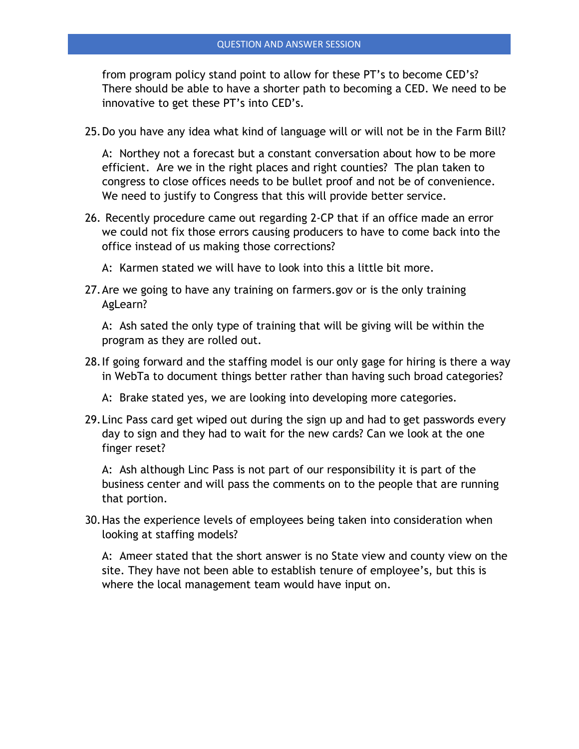from program policy stand point to allow for these PT's to become CED's? There should be able to have a shorter path to becoming a CED. We need to be innovative to get these PT's into CED's.

25.Do you have any idea what kind of language will or will not be in the Farm Bill?

A: Northey not a forecast but a constant conversation about how to be more efficient. Are we in the right places and right counties? The plan taken to congress to close offices needs to be bullet proof and not be of convenience. We need to justify to Congress that this will provide better service.

- 26. Recently procedure came out regarding 2-CP that if an office made an error we could not fix those errors causing producers to have to come back into the office instead of us making those corrections?
	- A: Karmen stated we will have to look into this a little bit more.
- 27.Are we going to have any training on farmers.gov or is the only training AgLearn?

A: Ash sated the only type of training that will be giving will be within the program as they are rolled out.

- 28.If going forward and the staffing model is our only gage for hiring is there a way in WebTa to document things better rather than having such broad categories?
	- A: Brake stated yes, we are looking into developing more categories.
- 29.Linc Pass card get wiped out during the sign up and had to get passwords every day to sign and they had to wait for the new cards? Can we look at the one finger reset?

A: Ash although Linc Pass is not part of our responsibility it is part of the business center and will pass the comments on to the people that are running that portion.

30.Has the experience levels of employees being taken into consideration when looking at staffing models?

A: Ameer stated that the short answer is no State view and county view on the site. They have not been able to establish tenure of employee's, but this is where the local management team would have input on.